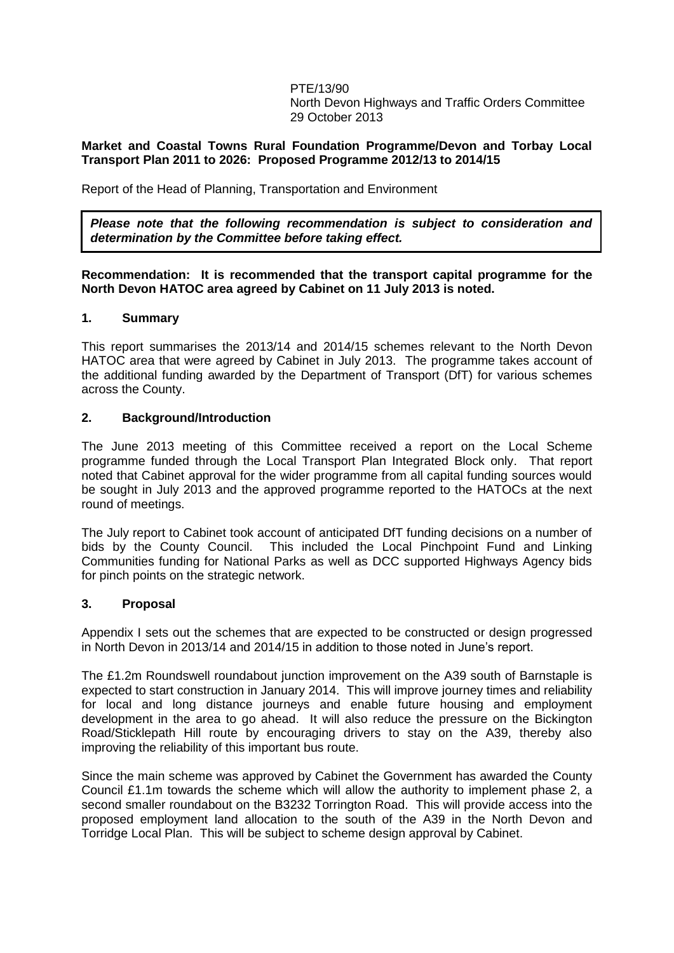PTE/13/90 North Devon Highways and Traffic Orders Committee 29 October 2013

## **Market and Coastal Towns Rural Foundation Programme/Devon and Torbay Local Transport Plan 2011 to 2026: Proposed Programme 2012/13 to 2014/15**

Report of the Head of Planning, Transportation and Environment

*Please note that the following recommendation is subject to consideration and determination by the Committee before taking effect.*

## **Recommendation: It is recommended that the transport capital programme for the North Devon HATOC area agreed by Cabinet on 11 July 2013 is noted.**

# **1. Summary**

This report summarises the 2013/14 and 2014/15 schemes relevant to the North Devon HATOC area that were agreed by Cabinet in July 2013. The programme takes account of the additional funding awarded by the Department of Transport (DfT) for various schemes across the County.

# **2. Background/Introduction**

The June 2013 meeting of this Committee received a report on the Local Scheme programme funded through the Local Transport Plan Integrated Block only. That report noted that Cabinet approval for the wider programme from all capital funding sources would be sought in July 2013 and the approved programme reported to the HATOCs at the next round of meetings.

The July report to Cabinet took account of anticipated DfT funding decisions on a number of bids by the County Council. This included the Local Pinchpoint Fund and Linking Communities funding for National Parks as well as DCC supported Highways Agency bids for pinch points on the strategic network.

#### **3. Proposal**

Appendix I sets out the schemes that are expected to be constructed or design progressed in North Devon in 2013/14 and 2014/15 in addition to those noted in June's report.

The £1.2m Roundswell roundabout junction improvement on the A39 south of Barnstaple is expected to start construction in January 2014. This will improve journey times and reliability for local and long distance journeys and enable future housing and employment development in the area to go ahead. It will also reduce the pressure on the Bickington Road/Sticklepath Hill route by encouraging drivers to stay on the A39, thereby also improving the reliability of this important bus route.

Since the main scheme was approved by Cabinet the Government has awarded the County Council £1.1m towards the scheme which will allow the authority to implement phase 2, a second smaller roundabout on the B3232 Torrington Road. This will provide access into the proposed employment land allocation to the south of the A39 in the North Devon and Torridge Local Plan. This will be subject to scheme design approval by Cabinet.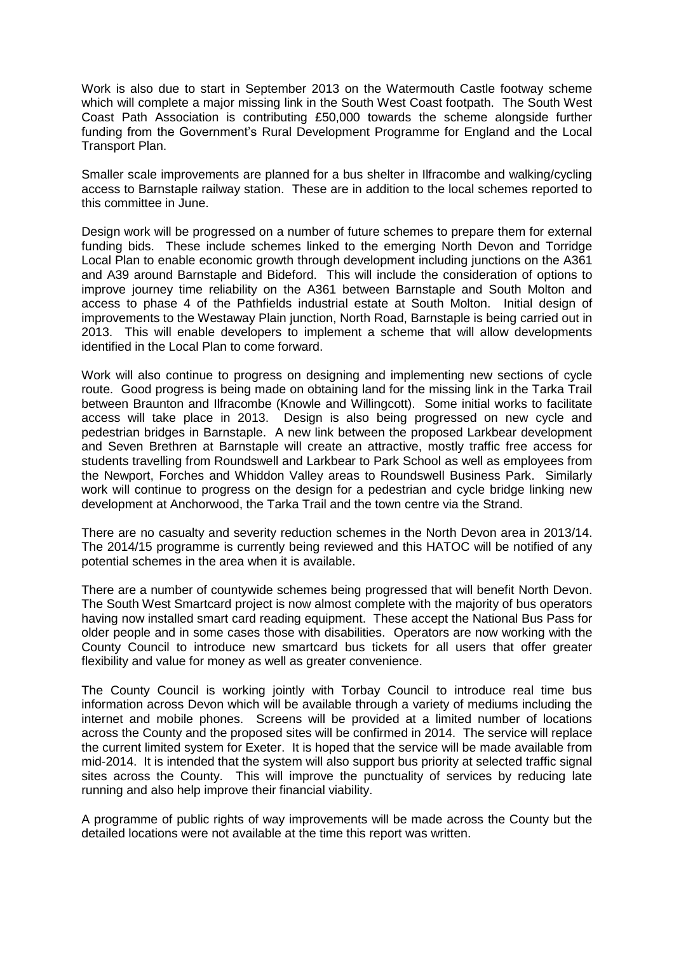Work is also due to start in September 2013 on the Watermouth Castle footway scheme which will complete a major missing link in the South West Coast footpath. The South West Coast Path Association is contributing £50,000 towards the scheme alongside further funding from the Government's Rural Development Programme for England and the Local Transport Plan.

Smaller scale improvements are planned for a bus shelter in Ilfracombe and walking/cycling access to Barnstaple railway station. These are in addition to the local schemes reported to this committee in June.

Design work will be progressed on a number of future schemes to prepare them for external funding bids. These include schemes linked to the emerging North Devon and Torridge Local Plan to enable economic growth through development including junctions on the A361 and A39 around Barnstaple and Bideford. This will include the consideration of options to improve journey time reliability on the A361 between Barnstaple and South Molton and access to phase 4 of the Pathfields industrial estate at South Molton. Initial design of improvements to the Westaway Plain junction, North Road, Barnstaple is being carried out in 2013. This will enable developers to implement a scheme that will allow developments identified in the Local Plan to come forward.

Work will also continue to progress on designing and implementing new sections of cycle route. Good progress is being made on obtaining land for the missing link in the Tarka Trail between Braunton and Ilfracombe (Knowle and Willingcott). Some initial works to facilitate access will take place in 2013. Design is also being progressed on new cycle and pedestrian bridges in Barnstaple. A new link between the proposed Larkbear development and Seven Brethren at Barnstaple will create an attractive, mostly traffic free access for students travelling from Roundswell and Larkbear to Park School as well as employees from the Newport, Forches and Whiddon Valley areas to Roundswell Business Park. Similarly work will continue to progress on the design for a pedestrian and cycle bridge linking new development at Anchorwood, the Tarka Trail and the town centre via the Strand.

There are no casualty and severity reduction schemes in the North Devon area in 2013/14. The 2014/15 programme is currently being reviewed and this HATOC will be notified of any potential schemes in the area when it is available.

There are a number of countywide schemes being progressed that will benefit North Devon. The South West Smartcard project is now almost complete with the majority of bus operators having now installed smart card reading equipment. These accept the National Bus Pass for older people and in some cases those with disabilities. Operators are now working with the County Council to introduce new smartcard bus tickets for all users that offer greater flexibility and value for money as well as greater convenience.

The County Council is working jointly with Torbay Council to introduce real time bus information across Devon which will be available through a variety of mediums including the internet and mobile phones. Screens will be provided at a limited number of locations across the County and the proposed sites will be confirmed in 2014. The service will replace the current limited system for Exeter. It is hoped that the service will be made available from mid-2014. It is intended that the system will also support bus priority at selected traffic signal sites across the County. This will improve the punctuality of services by reducing late running and also help improve their financial viability.

A programme of public rights of way improvements will be made across the County but the detailed locations were not available at the time this report was written.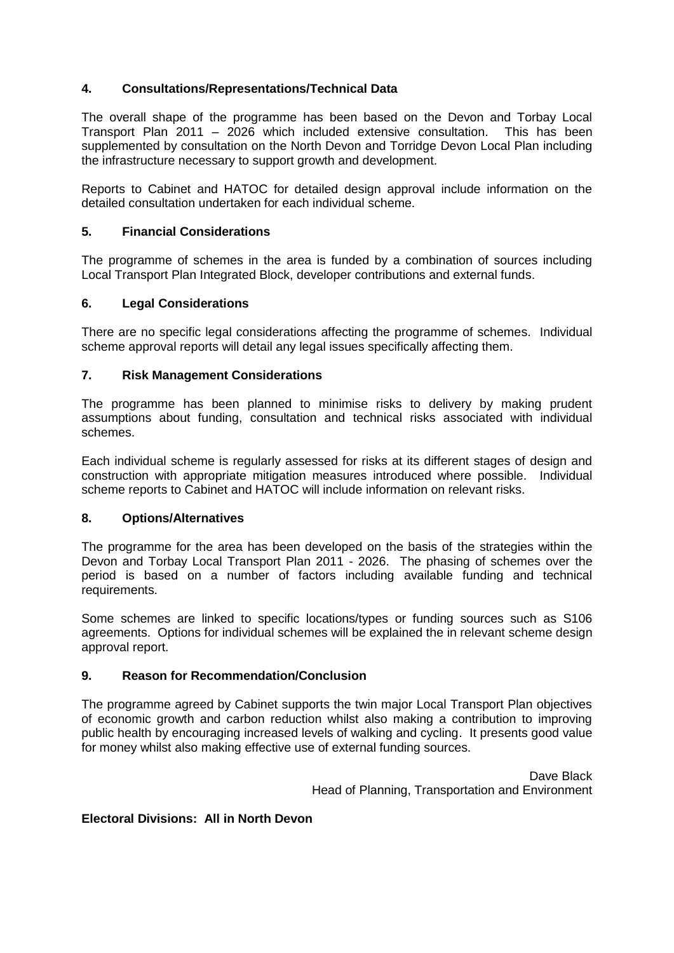# **4. Consultations/Representations/Technical Data**

The overall shape of the programme has been based on the Devon and Torbay Local Transport Plan 2011 – 2026 which included extensive consultation. This has been supplemented by consultation on the North Devon and Torridge Devon Local Plan including the infrastructure necessary to support growth and development.

Reports to Cabinet and HATOC for detailed design approval include information on the detailed consultation undertaken for each individual scheme.

## **5. Financial Considerations**

The programme of schemes in the area is funded by a combination of sources including Local Transport Plan Integrated Block, developer contributions and external funds.

#### **6. Legal Considerations**

There are no specific legal considerations affecting the programme of schemes. Individual scheme approval reports will detail any legal issues specifically affecting them.

# **7. Risk Management Considerations**

The programme has been planned to minimise risks to delivery by making prudent assumptions about funding, consultation and technical risks associated with individual schemes.

Each individual scheme is regularly assessed for risks at its different stages of design and construction with appropriate mitigation measures introduced where possible. Individual scheme reports to Cabinet and HATOC will include information on relevant risks.

#### **8. Options/Alternatives**

The programme for the area has been developed on the basis of the strategies within the Devon and Torbay Local Transport Plan 2011 - 2026. The phasing of schemes over the period is based on a number of factors including available funding and technical requirements.

Some schemes are linked to specific locations/types or funding sources such as S106 agreements. Options for individual schemes will be explained the in relevant scheme design approval report.

# **9. Reason for Recommendation/Conclusion**

The programme agreed by Cabinet supports the twin major Local Transport Plan objectives of economic growth and carbon reduction whilst also making a contribution to improving public health by encouraging increased levels of walking and cycling. It presents good value for money whilst also making effective use of external funding sources.

> Dave Black Head of Planning, Transportation and Environment

# **Electoral Divisions: All in North Devon**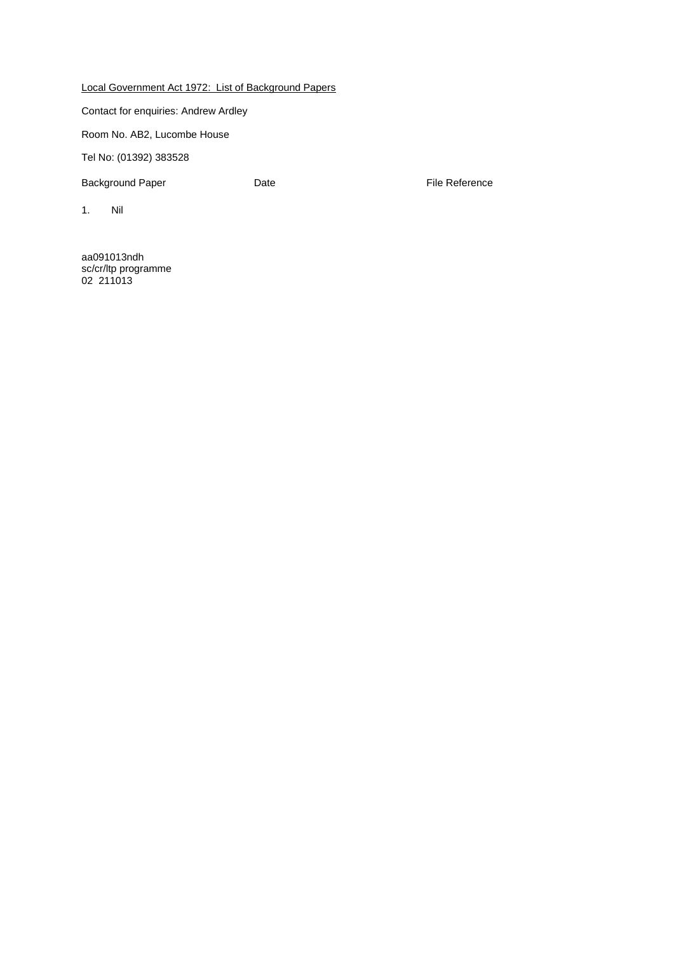Local Government Act 1972: List of Background Papers

Contact for enquiries: Andrew Ardley

Room No. AB2, Lucombe House

Tel No: (01392) 383528

Background Paper **Date Date Container Paper Container Paper Container Paper Container Paper Container Paper Container Paper Container Paper Container Paper Container Paper Container Paper Container** 

1. Nil

aa091013ndh sc/cr/ltp programme 02 211013